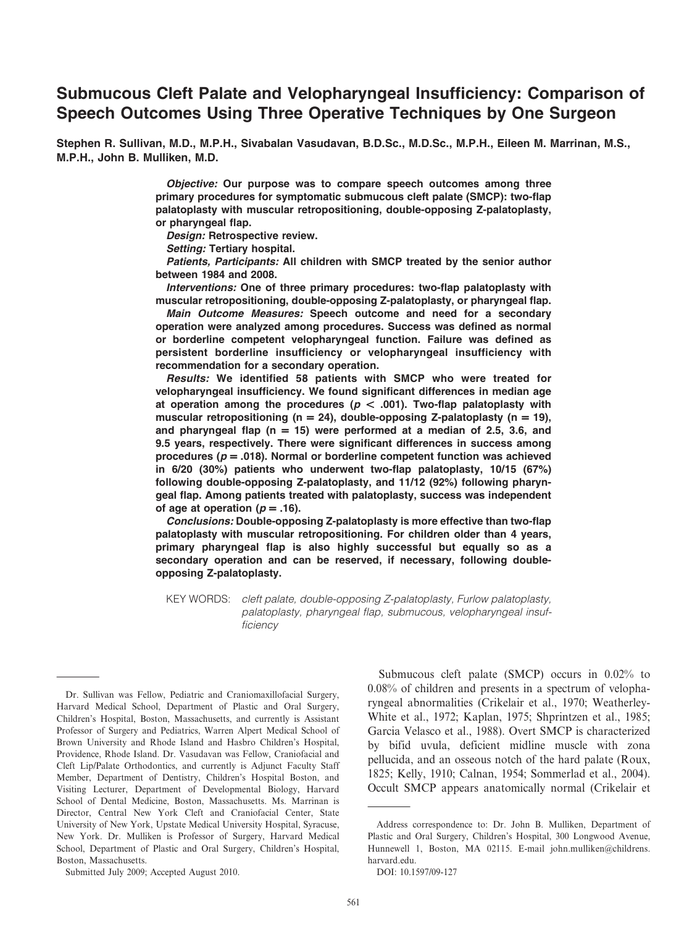# Submucous Cleft Palate and Velopharyngeal Insufficiency: Comparison of Speech Outcomes Using Three Operative Techniques by One Surgeon

Stephen R. Sullivan, M.D., M.P.H., Sivabalan Vasudavan, B.D.Sc., M.D.Sc., M.P.H., Eileen M. Marrinan, M.S., M.P.H., John B. Mulliken, M.D.

> Objective: Our purpose was to compare speech outcomes among three primary procedures for symptomatic submucous cleft palate (SMCP): two-flap palatoplasty with muscular retropositioning, double-opposing Z-palatoplasty, or pharyngeal flap.

Design: Retrospective review.

Setting: Tertiary hospital.

Patients, Participants: All children with SMCP treated by the senior author between 1984 and 2008.

Interventions: One of three primary procedures: two-flap palatoplasty with muscular retropositioning, double-opposing Z-palatoplasty, or pharyngeal flap.

Main Outcome Measures: Speech outcome and need for a secondary operation were analyzed among procedures. Success was defined as normal or borderline competent velopharyngeal function. Failure was defined as persistent borderline insufficiency or velopharyngeal insufficiency with recommendation for a secondary operation.

Results: We identified 58 patients with SMCP who were treated for velopharyngeal insufficiency. We found significant differences in median age at operation among the procedures ( $p < .001$ ). Two-flap palatoplasty with muscular retropositioning (n = 24), double-opposing Z-palatoplasty (n = 19), and pharyngeal flap ( $n = 15$ ) were performed at a median of 2.5, 3.6, and 9.5 years, respectively. There were significant differences in success among procedures ( $p = .018$ ). Normal or borderline competent function was achieved in 6/20 (30%) patients who underwent two-flap palatoplasty, 10/15 (67%) following double-opposing Z-palatoplasty, and 11/12 (92%) following pharyngeal flap. Among patients treated with palatoplasty, success was independent of age at operation ( $p = .16$ ).

Conclusions: Double-opposing Z-palatoplasty is more effective than two-flap palatoplasty with muscular retropositioning. For children older than 4 years, primary pharyngeal flap is also highly successful but equally so as a secondary operation and can be reserved, if necessary, following doubleopposing Z-palatoplasty.

KEY WORDS: cleft palate, double-opposing Z-palatoplasty, Furlow palatoplasty, palatoplasty, pharyngeal flap, submucous, velopharyngeal insufficiency

Submitted July 2009; Accepted August 2010.

Submucous cleft palate (SMCP) occurs in 0.02% to 0.08% of children and presents in a spectrum of velopharyngeal abnormalities (Crikelair et al., 1970; Weatherley-White et al., 1972; Kaplan, 1975; Shprintzen et al., 1985; Garcia Velasco et al., 1988). Overt SMCP is characterized by bifid uvula, deficient midline muscle with zona pellucida, and an osseous notch of the hard palate (Roux, 1825; Kelly, 1910; Calnan, 1954; Sommerlad et al., 2004). Occult SMCP appears anatomically normal (Crikelair et

Dr. Sullivan was Fellow, Pediatric and Craniomaxillofacial Surgery, Harvard Medical School, Department of Plastic and Oral Surgery, Children's Hospital, Boston, Massachusetts, and currently is Assistant Professor of Surgery and Pediatrics, Warren Alpert Medical School of Brown University and Rhode Island and Hasbro Children's Hospital, Providence, Rhode Island. Dr. Vasudavan was Fellow, Craniofacial and Cleft Lip/Palate Orthodontics, and currently is Adjunct Faculty Staff Member, Department of Dentistry, Children's Hospital Boston, and Visiting Lecturer, Department of Developmental Biology, Harvard School of Dental Medicine, Boston, Massachusetts. Ms. Marrinan is Director, Central New York Cleft and Craniofacial Center, State University of New York, Upstate Medical University Hospital, Syracuse, New York. Dr. Mulliken is Professor of Surgery, Harvard Medical School, Department of Plastic and Oral Surgery, Children's Hospital, Boston, Massachusetts.

Address correspondence to: Dr. John B. Mulliken, Department of Plastic and Oral Surgery, Children's Hospital, 300 Longwood Avenue, Hunnewell 1, Boston, MA 02115. E-mail john.mulliken@childrens. harvard.edu.

DOI: 10.1597/09-127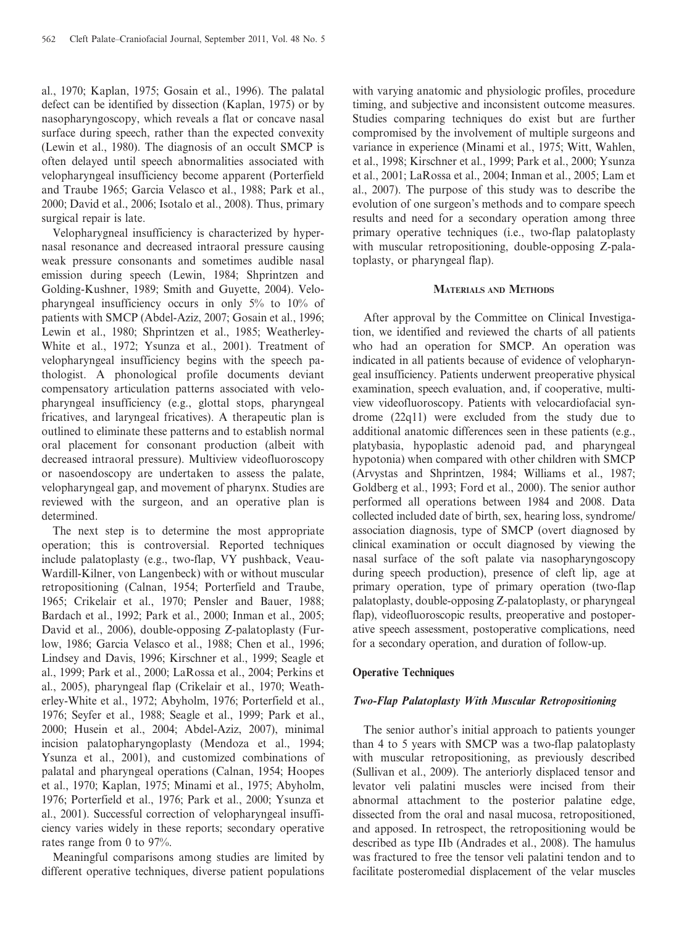al., 1970; Kaplan, 1975; Gosain et al., 1996). The palatal defect can be identified by dissection (Kaplan, 1975) or by nasopharyngoscopy, which reveals a flat or concave nasal surface during speech, rather than the expected convexity (Lewin et al., 1980). The diagnosis of an occult SMCP is often delayed until speech abnormalities associated with velopharyngeal insufficiency become apparent (Porterfield and Traube 1965; Garcia Velasco et al., 1988; Park et al., 2000; David et al., 2006; Isotalo et al., 2008). Thus, primary surgical repair is late.

Velopharygneal insufficiency is characterized by hypernasal resonance and decreased intraoral pressure causing weak pressure consonants and sometimes audible nasal emission during speech (Lewin, 1984; Shprintzen and Golding-Kushner, 1989; Smith and Guyette, 2004). Velopharyngeal insufficiency occurs in only 5% to 10% of patients with SMCP (Abdel-Aziz, 2007; Gosain et al., 1996; Lewin et al., 1980; Shprintzen et al., 1985; Weatherley-White et al., 1972; Ysunza et al., 2001). Treatment of velopharyngeal insufficiency begins with the speech pathologist. A phonological profile documents deviant compensatory articulation patterns associated with velopharyngeal insufficiency (e.g., glottal stops, pharyngeal fricatives, and laryngeal fricatives). A therapeutic plan is outlined to eliminate these patterns and to establish normal oral placement for consonant production (albeit with decreased intraoral pressure). Multiview videofluoroscopy or nasoendoscopy are undertaken to assess the palate, velopharyngeal gap, and movement of pharynx. Studies are reviewed with the surgeon, and an operative plan is determined.

The next step is to determine the most appropriate operation; this is controversial. Reported techniques include palatoplasty (e.g., two-flap, VY pushback, Veau-Wardill-Kilner, von Langenbeck) with or without muscular retropositioning (Calnan, 1954; Porterfield and Traube, 1965; Crikelair et al., 1970; Pensler and Bauer, 1988; Bardach et al., 1992; Park et al., 2000; Inman et al., 2005; David et al., 2006), double-opposing Z-palatoplasty (Furlow, 1986; Garcia Velasco et al., 1988; Chen et al., 1996; Lindsey and Davis, 1996; Kirschner et al., 1999; Seagle et al., 1999; Park et al., 2000; LaRossa et al., 2004; Perkins et al., 2005), pharyngeal flap (Crikelair et al., 1970; Weatherley-White et al., 1972; Abyholm, 1976; Porterfield et al., 1976; Seyfer et al., 1988; Seagle et al., 1999; Park et al., 2000; Husein et al., 2004; Abdel-Aziz, 2007), minimal incision palatopharyngoplasty (Mendoza et al., 1994; Ysunza et al., 2001), and customized combinations of palatal and pharyngeal operations (Calnan, 1954; Hoopes et al., 1970; Kaplan, 1975; Minami et al., 1975; Abyholm, 1976; Porterfield et al., 1976; Park et al., 2000; Ysunza et al., 2001). Successful correction of velopharyngeal insufficiency varies widely in these reports; secondary operative rates range from 0 to 97%.

Meaningful comparisons among studies are limited by different operative techniques, diverse patient populations

with varying anatomic and physiologic profiles, procedure timing, and subjective and inconsistent outcome measures. Studies comparing techniques do exist but are further compromised by the involvement of multiple surgeons and variance in experience (Minami et al., 1975; Witt, Wahlen, et al., 1998; Kirschner et al., 1999; Park et al., 2000; Ysunza et al., 2001; LaRossa et al., 2004; Inman et al., 2005; Lam et al., 2007). The purpose of this study was to describe the evolution of one surgeon's methods and to compare speech results and need for a secondary operation among three primary operative techniques (i.e., two-flap palatoplasty with muscular retropositioning, double-opposing Z-palatoplasty, or pharyngeal flap).

#### MATERIALS AND METHODS

After approval by the Committee on Clinical Investigation, we identified and reviewed the charts of all patients who had an operation for SMCP. An operation was indicated in all patients because of evidence of velopharyngeal insufficiency. Patients underwent preoperative physical examination, speech evaluation, and, if cooperative, multiview videofluoroscopy. Patients with velocardiofacial syndrome (22q11) were excluded from the study due to additional anatomic differences seen in these patients (e.g., platybasia, hypoplastic adenoid pad, and pharyngeal hypotonia) when compared with other children with SMCP (Arvystas and Shprintzen, 1984; Williams et al., 1987; Goldberg et al., 1993; Ford et al., 2000). The senior author performed all operations between 1984 and 2008. Data collected included date of birth, sex, hearing loss, syndrome/ association diagnosis, type of SMCP (overt diagnosed by clinical examination or occult diagnosed by viewing the nasal surface of the soft palate via nasopharyngoscopy during speech production), presence of cleft lip, age at primary operation, type of primary operation (two-flap palatoplasty, double-opposing Z-palatoplasty, or pharyngeal flap), videofluoroscopic results, preoperative and postoperative speech assessment, postoperative complications, need for a secondary operation, and duration of follow-up.

## Operative Techniques

## Two-Flap Palatoplasty With Muscular Retropositioning

The senior author's initial approach to patients younger than 4 to 5 years with SMCP was a two-flap palatoplasty with muscular retropositioning, as previously described (Sullivan et al., 2009). The anteriorly displaced tensor and levator veli palatini muscles were incised from their abnormal attachment to the posterior palatine edge, dissected from the oral and nasal mucosa, retropositioned, and apposed. In retrospect, the retropositioning would be described as type IIb (Andrades et al., 2008). The hamulus was fractured to free the tensor veli palatini tendon and to facilitate posteromedial displacement of the velar muscles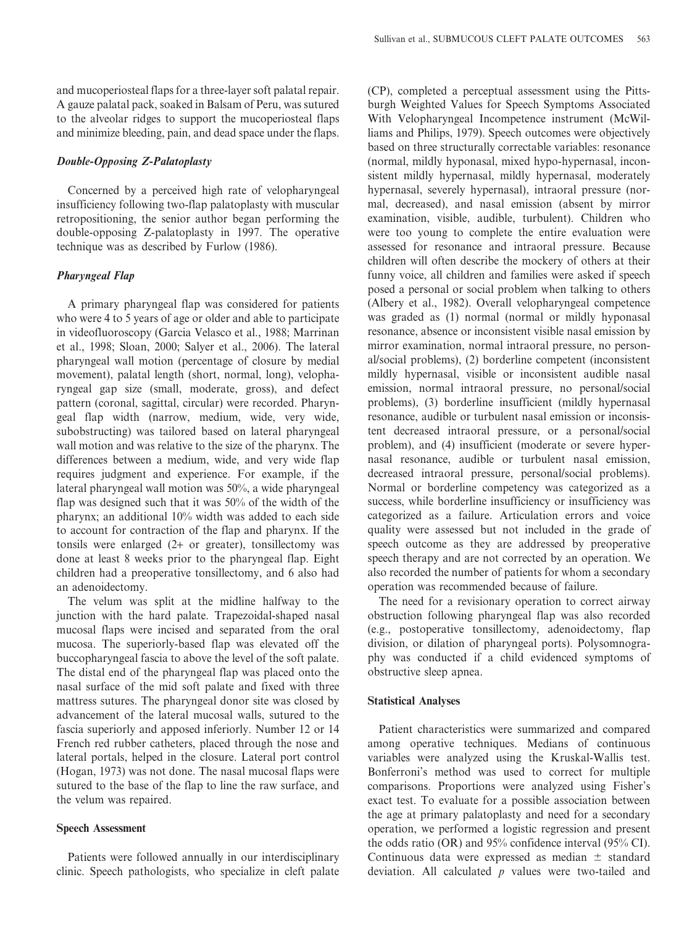and mucoperiosteal flaps for a three-layer soft palatal repair. A gauze palatal pack, soaked in Balsam of Peru, was sutured to the alveolar ridges to support the mucoperiosteal flaps and minimize bleeding, pain, and dead space under the flaps.

## Double-Opposing Z-Palatoplasty

Concerned by a perceived high rate of velopharyngeal insufficiency following two-flap palatoplasty with muscular retropositioning, the senior author began performing the double-opposing Z-palatoplasty in 1997. The operative technique was as described by Furlow (1986).

# Pharyngeal Flap

A primary pharyngeal flap was considered for patients who were 4 to 5 years of age or older and able to participate in videofluoroscopy (Garcia Velasco et al., 1988; Marrinan et al., 1998; Sloan, 2000; Salyer et al., 2006). The lateral pharyngeal wall motion (percentage of closure by medial movement), palatal length (short, normal, long), velopharyngeal gap size (small, moderate, gross), and defect pattern (coronal, sagittal, circular) were recorded. Pharyngeal flap width (narrow, medium, wide, very wide, subobstructing) was tailored based on lateral pharyngeal wall motion and was relative to the size of the pharynx. The differences between a medium, wide, and very wide flap requires judgment and experience. For example, if the lateral pharyngeal wall motion was 50%, a wide pharyngeal flap was designed such that it was 50% of the width of the pharynx; an additional 10% width was added to each side to account for contraction of the flap and pharynx. If the tonsils were enlarged (2+ or greater), tonsillectomy was done at least 8 weeks prior to the pharyngeal flap. Eight children had a preoperative tonsillectomy, and 6 also had an adenoidectomy.

The velum was split at the midline halfway to the junction with the hard palate. Trapezoidal-shaped nasal mucosal flaps were incised and separated from the oral mucosa. The superiorly-based flap was elevated off the buccopharyngeal fascia to above the level of the soft palate. The distal end of the pharyngeal flap was placed onto the nasal surface of the mid soft palate and fixed with three mattress sutures. The pharyngeal donor site was closed by advancement of the lateral mucosal walls, sutured to the fascia superiorly and apposed inferiorly. Number 12 or 14 French red rubber catheters, placed through the nose and lateral portals, helped in the closure. Lateral port control (Hogan, 1973) was not done. The nasal mucosal flaps were sutured to the base of the flap to line the raw surface, and the velum was repaired.

## Speech Assessment

Patients were followed annually in our interdisciplinary clinic. Speech pathologists, who specialize in cleft palate

(CP), completed a perceptual assessment using the Pittsburgh Weighted Values for Speech Symptoms Associated With Velopharyngeal Incompetence instrument (McWilliams and Philips, 1979). Speech outcomes were objectively based on three structurally correctable variables: resonance (normal, mildly hyponasal, mixed hypo-hypernasal, inconsistent mildly hypernasal, mildly hypernasal, moderately hypernasal, severely hypernasal), intraoral pressure (normal, decreased), and nasal emission (absent by mirror examination, visible, audible, turbulent). Children who were too young to complete the entire evaluation were assessed for resonance and intraoral pressure. Because children will often describe the mockery of others at their funny voice, all children and families were asked if speech posed a personal or social problem when talking to others (Albery et al., 1982). Overall velopharyngeal competence was graded as (1) normal (normal or mildly hyponasal resonance, absence or inconsistent visible nasal emission by mirror examination, normal intraoral pressure, no personal/social problems), (2) borderline competent (inconsistent mildly hypernasal, visible or inconsistent audible nasal emission, normal intraoral pressure, no personal/social problems), (3) borderline insufficient (mildly hypernasal resonance, audible or turbulent nasal emission or inconsistent decreased intraoral pressure, or a personal/social problem), and (4) insufficient (moderate or severe hypernasal resonance, audible or turbulent nasal emission, decreased intraoral pressure, personal/social problems). Normal or borderline competency was categorized as a success, while borderline insufficiency or insufficiency was categorized as a failure. Articulation errors and voice quality were assessed but not included in the grade of speech outcome as they are addressed by preoperative speech therapy and are not corrected by an operation. We also recorded the number of patients for whom a secondary operation was recommended because of failure.

The need for a revisionary operation to correct airway obstruction following pharyngeal flap was also recorded (e.g., postoperative tonsillectomy, adenoidectomy, flap division, or dilation of pharyngeal ports). Polysomnography was conducted if a child evidenced symptoms of obstructive sleep apnea.

# Statistical Analyses

Patient characteristics were summarized and compared among operative techniques. Medians of continuous variables were analyzed using the Kruskal-Wallis test. Bonferroni's method was used to correct for multiple comparisons. Proportions were analyzed using Fisher's exact test. To evaluate for a possible association between the age at primary palatoplasty and need for a secondary operation, we performed a logistic regression and present the odds ratio (OR) and 95% confidence interval (95% CI). Continuous data were expressed as median  $\pm$  standard deviation. All calculated  $p$  values were two-tailed and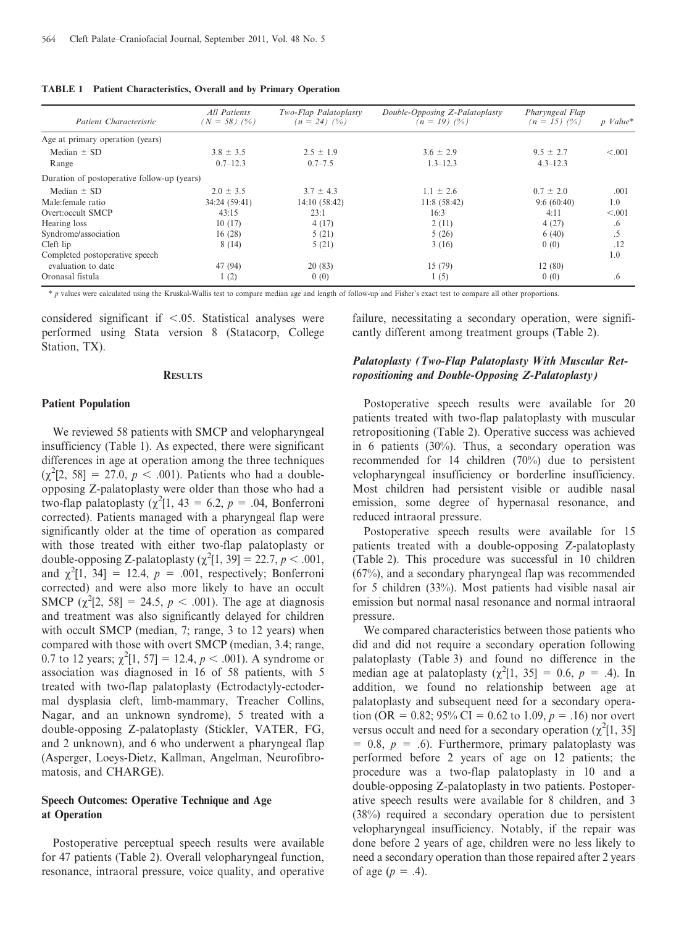|  |  | <b>TABLE 1</b> Patient Characteristics, Overall and by Primary Operation |  |  |  |  |
|--|--|--------------------------------------------------------------------------|--|--|--|--|
|--|--|--------------------------------------------------------------------------|--|--|--|--|

| Patient Characteristic                      | All Patients<br>$(N = 58)$ $(%$ ) | Two-Flap Palatoplasty<br>$(n = 24)$ $(%$ ) | Double-Opposing Z-Palatoplasty<br>$(n = 19)$ $(%$ ) | Pharyngeal Flap<br>$(n = 15)$ $(%$ ) | p Value* |
|---------------------------------------------|-----------------------------------|--------------------------------------------|-----------------------------------------------------|--------------------------------------|----------|
| Age at primary operation (years)            |                                   |                                            |                                                     |                                      |          |
| Median $\pm$ SD                             | $3.8 \pm 3.5$                     | $2.5 \pm 1.9$                              | $3.6 \pm 2.9$                                       | $9.5 \pm 2.7$                        | < 0.001  |
| Range                                       | $0.7 - 12.3$                      | $0.7 - 7.5$                                | $1.3 - 12.3$                                        | $4.3 - 12.3$                         |          |
| Duration of postoperative follow-up (years) |                                   |                                            |                                                     |                                      |          |
| Median $\pm$ SD                             | $2.0 \pm 3.5$                     | $3.7 \pm 4.3$                              | $1.1 \pm 2.6$                                       | $0.7 \pm 2.0$                        | .001     |
| Male: female ratio                          | 34:24 (59:41)                     | 14:10 (58:42)                              | 11:8(58:42)                                         | 9:6(60:40)                           | 1.0      |
| Overt:occult SMCP                           | 43:15                             | 23:1                                       | 16:3                                                | 4:11                                 | < 0.001  |
| Hearing loss                                | 10(17)                            | 4(17)                                      | 2(11)                                               | 4(27)                                | .6       |
| Syndrome/association                        | 16(28)                            | 5(21)                                      | 5(26)                                               | 6(40)                                | .5       |
| Cleft lip                                   | 8(14)                             | 5(21)                                      | 3(16)                                               | 0(0)                                 | .12      |
| Completed postoperative speech              |                                   |                                            |                                                     |                                      | 1.0      |
| evaluation to date                          | 47 (94)                           | 20(83)                                     | 15(79)                                              | 12(80)                               |          |
| Oronasal fistula                            | 1(2)                              | 0(0)                                       | 1(5)                                                | 0(0)                                 | .6       |

\* p values were calculated using the Kruskal-Wallis test to compare median age and length of follow-up and Fisher's exact test to compare all other proportions.

considered significant if  $< .05$ . Statistical analyses were performed using Stata version 8 (Statacorp, College Station, TX).

#### **RESULTS**

#### Patient Population

We reviewed 58 patients with SMCP and velopharyngeal insufficiency (Table 1). As expected, there were significant differences in age at operation among the three techniques  $(\chi^2[2, 58] = 27.0, p < .001)$ . Patients who had a doubleopposing Z-palatoplasty were older than those who had a two-flap palatoplasty ( $\chi^2[1, 43 = 6.2, p = .04,$  Bonferroni corrected). Patients managed with a pharyngeal flap were significantly older at the time of operation as compared with those treated with either two-flap palatoplasty or double-opposing Z-palatoplasty  $(\chi^2[1, 39] = 22.7, p < .001,$ and  $\chi^2[1, 34] = 12.4$ ,  $p = .001$ , respectively; Bonferroni corrected) and were also more likely to have an occult SMCP  $(\chi^2[2, 58] = 24.5, p < .001)$ . The age at diagnosis and treatment was also significantly delayed for children with occult SMCP (median, 7; range, 3 to 12 years) when compared with those with overt SMCP (median, 3.4; range, 0.7 to 12 years;  $\chi^2[1, 57] = 12.4, p < .001$ ). A syndrome or association was diagnosed in 16 of 58 patients, with 5 treated with two-flap palatoplasty (Ectrodactyly-ectodermal dysplasia cleft, limb-mammary, Treacher Collins, Nagar, and an unknown syndrome), 5 treated with a double-opposing Z-palatoplasty (Stickler, VATER, FG, and 2 unknown), and 6 who underwent a pharyngeal flap (Asperger, Loeys-Dietz, Kallman, Angelman, Neurofibromatosis, and CHARGE).

# Speech Outcomes: Operative Technique and Age at Operation

Postoperative perceptual speech results were available for 47 patients (Table 2). Overall velopharyngeal function, resonance, intraoral pressure, voice quality, and operative failure, necessitating a secondary operation, were significantly different among treatment groups (Table 2).

# Palatoplasty (Two-Flap Palatoplasty With Muscular Retropositioning and Double-Opposing Z-Palatoplasty)

Postoperative speech results were available for 20 patients treated with two-flap palatoplasty with muscular retropositioning (Table 2). Operative success was achieved in 6 patients (30%). Thus, a secondary operation was recommended for 14 children (70%) due to persistent velopharyngeal insufficiency or borderline insufficiency. Most children had persistent visible or audible nasal emission, some degree of hypernasal resonance, and reduced intraoral pressure.

Postoperative speech results were available for 15 patients treated with a double-opposing Z-palatoplasty (Table 2). This procedure was successful in 10 children (67%), and a secondary pharyngeal flap was recommended for 5 children (33%). Most patients had visible nasal air emission but normal nasal resonance and normal intraoral pressure.

We compared characteristics between those patients who did and did not require a secondary operation following palatoplasty (Table 3) and found no difference in the median age at palatoplasty ( $\chi^2[1, 35] = 0.6$ ,  $p = .4$ ). In addition, we found no relationship between age at palatoplasty and subsequent need for a secondary operation (OR = 0.82; 95% CI = 0.62 to 1.09,  $p = .16$ ) nor overt versus occult and need for a secondary operation  $(\chi^2[1, 35])$  $= 0.8, p = .6$ . Furthermore, primary palatoplasty was performed before 2 years of age on 12 patients; the procedure was a two-flap palatoplasty in 10 and a double-opposing Z-palatoplasty in two patients. Postoperative speech results were available for 8 children, and 3 (38%) required a secondary operation due to persistent velopharyngeal insufficiency. Notably, if the repair was done before 2 years of age, children were no less likely to need a secondary operation than those repaired after 2 years of age  $(p = .4)$ .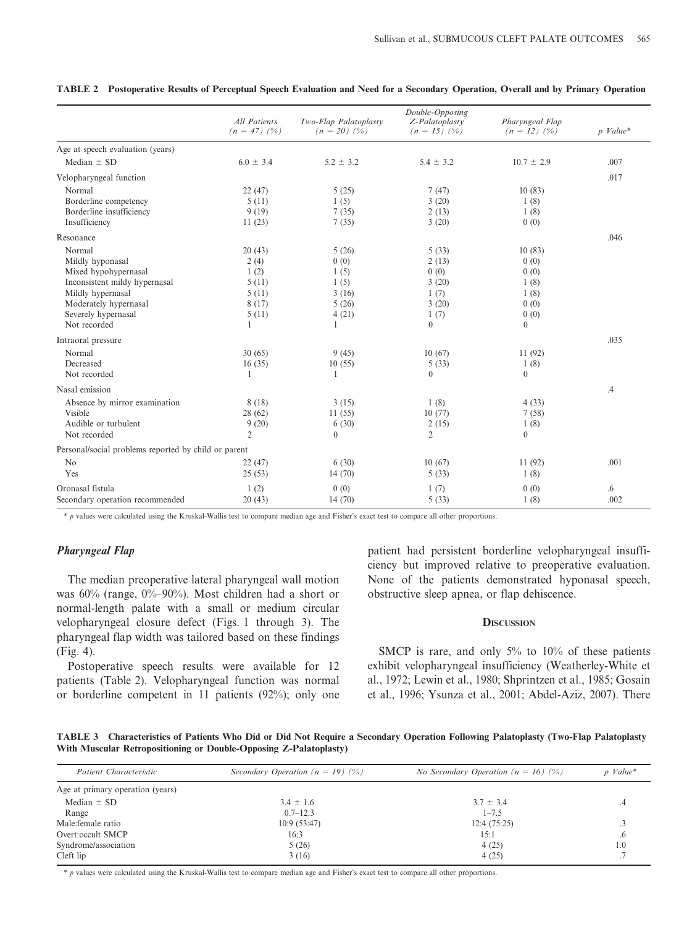|                                                      | All Patients<br>$(n = 47)$ $(%)$ | Two-Flap Palatoplasty<br>$(n = 20)$ $(%)$ | Double-Opposing<br>Z-Palatoplasty<br>$(n = 15)$ $(%)$ | Pharyngeal Flap<br>$(n = 12)$ $(%)$ | $p$ Value* |
|------------------------------------------------------|----------------------------------|-------------------------------------------|-------------------------------------------------------|-------------------------------------|------------|
| Age at speech evaluation (years)                     |                                  |                                           |                                                       |                                     |            |
| Median $\pm$ SD                                      | $6.0 \pm 3.4$                    | $5.2 \pm 3.2$                             | $5.4 \pm 3.2$                                         | $10.7 \pm 2.9$                      | .007       |
| Velopharyngeal function                              |                                  |                                           |                                                       |                                     | .017       |
| Normal                                               | 22(47)                           | 5(25)                                     | 7(47)                                                 | 10(83)                              |            |
| Borderline competency                                | 5(11)                            | 1(5)                                      | 3(20)                                                 | 1(8)                                |            |
| Borderline insufficiency                             | 9(19)                            | 7(35)                                     | 2(13)                                                 | 1(8)                                |            |
| Insufficiency                                        | 11(23)                           | 7(35)                                     | 3(20)                                                 | 0(0)                                |            |
| Resonance                                            |                                  |                                           |                                                       |                                     | .046       |
| Normal                                               | 20(43)                           | 5(26)                                     | 5(33)                                                 | 10(83)                              |            |
| Mildly hyponasal                                     | 2(4)                             | 0(0)                                      | 2(13)                                                 | 0(0)                                |            |
| Mixed hypohypernasal                                 | 1(2)                             | 1(5)                                      | 0(0)                                                  | 0(0)                                |            |
| Inconsistent mildy hypernasal                        | 5(11)                            | 1(5)                                      | 3(20)                                                 | 1(8)                                |            |
| Mildly hypernasal                                    | 5(11)                            | 3(16)                                     | 1(7)                                                  | 1(8)                                |            |
| Moderately hypernasal                                | 8(17)                            | 5(26)                                     | 3(20)                                                 | 0(0)                                |            |
| Severely hypernasal                                  | 5(11)                            | 4(21)                                     | 1(7)                                                  | 0(0)                                |            |
| Not recorded                                         | 1                                | 1                                         | $\Omega$                                              | $\Omega$                            |            |
| Intraoral pressure                                   |                                  |                                           |                                                       |                                     | .035       |
| Normal                                               | 30(65)                           | 9(45)                                     | 10(67)                                                | 11(92)                              |            |
| Decreased                                            | 16(35)                           | 10(55)                                    | 5(33)                                                 | 1(8)                                |            |
| Not recorded                                         | 1                                | 1                                         | $\theta$                                              | $\Omega$                            |            |
| Nasal emission                                       |                                  |                                           |                                                       |                                     | $\cdot$    |
| Absence by mirror examination                        | 8(18)                            | 3(15)                                     | 1(8)                                                  | 4(33)                               |            |
| Visible                                              | 28(62)                           | 11(55)                                    | 10(77)                                                | 7(58)                               |            |
| Audible or turbulent                                 | 9(20)                            | 6(30)                                     | 2(15)                                                 | 1(8)                                |            |
| Not recorded                                         | $\overline{2}$                   | $\theta$                                  | $\overline{2}$                                        | $\Omega$                            |            |
| Personal/social problems reported by child or parent |                                  |                                           |                                                       |                                     |            |
| No                                                   | 22(47)                           | 6(30)                                     | 10(67)                                                | 11(92)                              | .001       |
| Yes                                                  | 25(53)                           | 14(70)                                    | 5(33)                                                 | 1(8)                                |            |
| Oronasal fistula                                     | 1(2)                             | 0(0)                                      | 1(7)                                                  | 0(0)                                | .6         |
| Secondary operation recommended                      | 20(43)                           | 14(70)                                    | 5(33)                                                 | 1(8)                                | .002       |

|  | TABLE 2 Postoperative Results of Perceptual Speech Evaluation and Need for a Secondary Operation, Overall and by Primary Operation |  |  |  |  |  |  |  |
|--|------------------------------------------------------------------------------------------------------------------------------------|--|--|--|--|--|--|--|
|--|------------------------------------------------------------------------------------------------------------------------------------|--|--|--|--|--|--|--|

al-Wallis test to compare median age and Fisher's exact test to compare all other proportions.

# Pharyngeal Flap

The median preoperative lateral pharyngeal wall motion was 60% (range, 0%–90%). Most children had a short or normal-length palate with a small or medium circular velopharyngeal closure defect (Figs. 1 through 3). The pharyngeal flap width was tailored based on these findings (Fig. 4).

Postoperative speech results were available for 12 patients (Table 2). Velopharyngeal function was normal or borderline competent in 11 patients (92%); only one

patient had persistent borderline velopharyngeal insufficiency but improved relative to preoperative evaluation. None of the patients demonstrated hyponasal speech, obstructive sleep apnea, or flap dehiscence.

#### **DISCUSSION**

SMCP is rare, and only 5% to 10% of these patients exhibit velopharyngeal insufficiency (Weatherley-White et al., 1972; Lewin et al., 1980; Shprintzen et al., 1985; Gosain et al., 1996; Ysunza et al., 2001; Abdel-Aziz, 2007). There

TABLE 3 Characteristics of Patients Who Did or Did Not Require a Secondary Operation Following Palatoplasty (Two-Flap Palatoplasty With Muscular Retropositioning or Double-Opposing Z-Palatoplasty)

| Patient Characteristic           | Secondary Operation ( $n = 19$ ) (%) | <i>No Secondary Operation</i> ( $n = 16$ ) (%) | $p$ Value* |  |
|----------------------------------|--------------------------------------|------------------------------------------------|------------|--|
| Age at primary operation (years) |                                      |                                                |            |  |
| Median $\pm$ SD                  | $3.4 \pm 1.6$                        | $3.7 \pm 3.4$                                  | .4         |  |
| Range                            | $0.7 - 12.3$                         | $1 - 7.5$                                      |            |  |
| Male: female ratio               | 10:9(53:47)                          | 12:4(75:25)                                    |            |  |
| Overt:occult SMCP                | 16:3                                 | 15:1                                           | $\cdot$    |  |
| Syndrome/association             | 5(26)                                | 4(25)                                          | 1.0        |  |
| Cleft lip                        | 3(16)                                | 4(25)                                          |            |  |

\* p values were calculated using the Kruskal-Wallis test to compare median age and Fisher's exact test to compare all other proportions.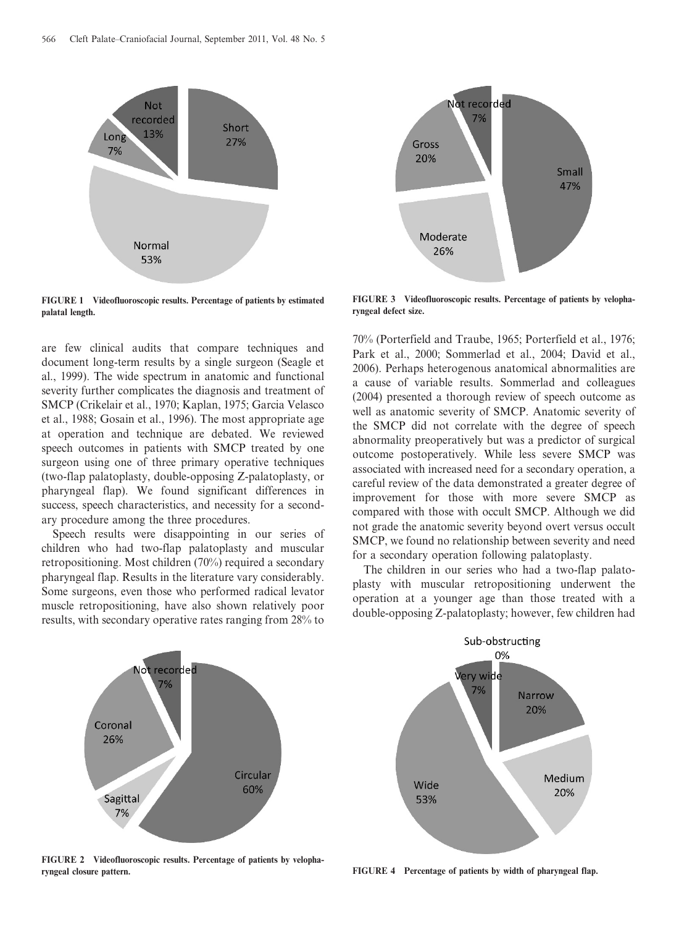

FIGURE 1 Videofluoroscopic results. Percentage of patients by estimated palatal length.

are few clinical audits that compare techniques and document long-term results by a single surgeon (Seagle et al., 1999). The wide spectrum in anatomic and functional severity further complicates the diagnosis and treatment of SMCP (Crikelair et al., 1970; Kaplan, 1975; Garcia Velasco et al., 1988; Gosain et al., 1996). The most appropriate age at operation and technique are debated. We reviewed speech outcomes in patients with SMCP treated by one surgeon using one of three primary operative techniques (two-flap palatoplasty, double-opposing Z-palatoplasty, or pharyngeal flap). We found significant differences in success, speech characteristics, and necessity for a secondary procedure among the three procedures.

Speech results were disappointing in our series of children who had two-flap palatoplasty and muscular retropositioning. Most children (70%) required a secondary pharyngeal flap. Results in the literature vary considerably. Some surgeons, even those who performed radical levator muscle retropositioning, have also shown relatively poor results, with secondary operative rates ranging from 28% to



FIGURE 3 Videofluoroscopic results. Percentage of patients by velopharyngeal defect size.

70% (Porterfield and Traube, 1965; Porterfield et al., 1976; Park et al., 2000; Sommerlad et al., 2004; David et al., 2006). Perhaps heterogenous anatomical abnormalities are a cause of variable results. Sommerlad and colleagues (2004) presented a thorough review of speech outcome as well as anatomic severity of SMCP. Anatomic severity of the SMCP did not correlate with the degree of speech abnormality preoperatively but was a predictor of surgical outcome postoperatively. While less severe SMCP was associated with increased need for a secondary operation, a careful review of the data demonstrated a greater degree of improvement for those with more severe SMCP as compared with those with occult SMCP. Although we did not grade the anatomic severity beyond overt versus occult SMCP, we found no relationship between severity and need for a secondary operation following palatoplasty.

The children in our series who had a two-flap palatoplasty with muscular retropositioning underwent the operation at a younger age than those treated with a double-opposing Z-palatoplasty; however, few children had



FIGURE 2 Videofluoroscopic results. Percentage of patients by velopharyngeal closure pattern.



FIGURE 4 Percentage of patients by width of pharyngeal flap.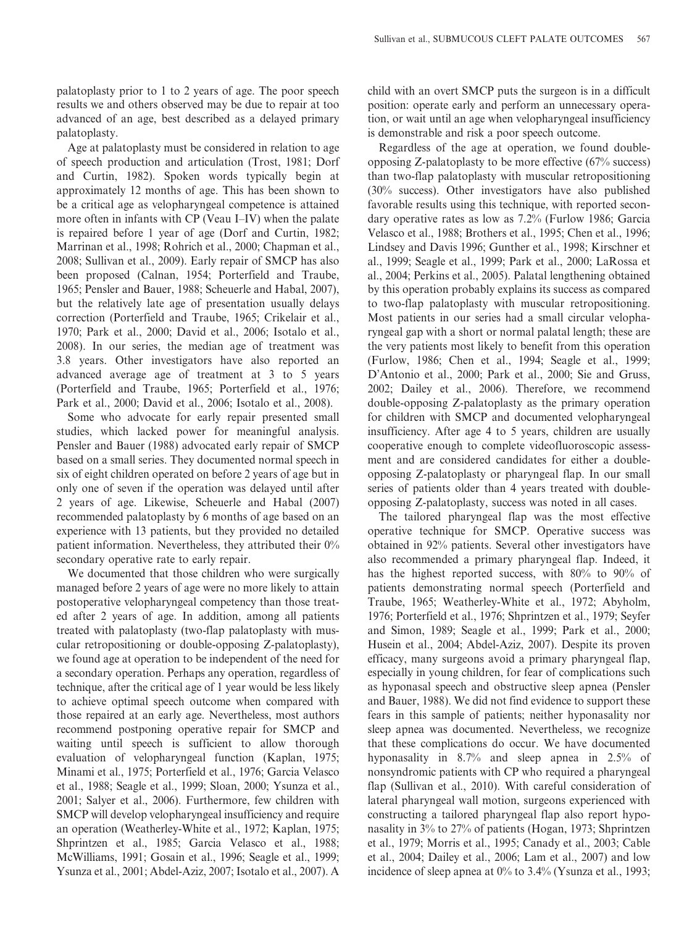palatoplasty prior to 1 to 2 years of age. The poor speech results we and others observed may be due to repair at too advanced of an age, best described as a delayed primary palatoplasty.

Age at palatoplasty must be considered in relation to age of speech production and articulation (Trost, 1981; Dorf and Curtin, 1982). Spoken words typically begin at approximately 12 months of age. This has been shown to be a critical age as velopharyngeal competence is attained more often in infants with CP (Veau I–IV) when the palate is repaired before 1 year of age (Dorf and Curtin, 1982; Marrinan et al., 1998; Rohrich et al., 2000; Chapman et al., 2008; Sullivan et al., 2009). Early repair of SMCP has also been proposed (Calnan, 1954; Porterfield and Traube, 1965; Pensler and Bauer, 1988; Scheuerle and Habal, 2007), but the relatively late age of presentation usually delays correction (Porterfield and Traube, 1965; Crikelair et al., 1970; Park et al., 2000; David et al., 2006; Isotalo et al., 2008). In our series, the median age of treatment was 3.8 years. Other investigators have also reported an advanced average age of treatment at 3 to 5 years (Porterfield and Traube, 1965; Porterfield et al., 1976; Park et al., 2000; David et al., 2006; Isotalo et al., 2008).

Some who advocate for early repair presented small studies, which lacked power for meaningful analysis. Pensler and Bauer (1988) advocated early repair of SMCP based on a small series. They documented normal speech in six of eight children operated on before 2 years of age but in only one of seven if the operation was delayed until after 2 years of age. Likewise, Scheuerle and Habal (2007) recommended palatoplasty by 6 months of age based on an experience with 13 patients, but they provided no detailed patient information. Nevertheless, they attributed their 0% secondary operative rate to early repair.

We documented that those children who were surgically managed before 2 years of age were no more likely to attain postoperative velopharyngeal competency than those treated after 2 years of age. In addition, among all patients treated with palatoplasty (two-flap palatoplasty with muscular retropositioning or double-opposing Z-palatoplasty), we found age at operation to be independent of the need for a secondary operation. Perhaps any operation, regardless of technique, after the critical age of 1 year would be less likely to achieve optimal speech outcome when compared with those repaired at an early age. Nevertheless, most authors recommend postponing operative repair for SMCP and waiting until speech is sufficient to allow thorough evaluation of velopharyngeal function (Kaplan, 1975; Minami et al., 1975; Porterfield et al., 1976; Garcia Velasco et al., 1988; Seagle et al., 1999; Sloan, 2000; Ysunza et al., 2001; Salyer et al., 2006). Furthermore, few children with SMCP will develop velopharyngeal insufficiency and require an operation (Weatherley-White et al., 1972; Kaplan, 1975; Shprintzen et al., 1985; Garcia Velasco et al., 1988; McWilliams, 1991; Gosain et al., 1996; Seagle et al., 1999; Ysunza et al., 2001; Abdel-Aziz, 2007; Isotalo et al., 2007). A

child with an overt SMCP puts the surgeon is in a difficult position: operate early and perform an unnecessary operation, or wait until an age when velopharyngeal insufficiency is demonstrable and risk a poor speech outcome.

Regardless of the age at operation, we found doubleopposing Z-palatoplasty to be more effective (67% success) than two-flap palatoplasty with muscular retropositioning (30% success). Other investigators have also published favorable results using this technique, with reported secondary operative rates as low as 7.2% (Furlow 1986; Garcia Velasco et al., 1988; Brothers et al., 1995; Chen et al., 1996; Lindsey and Davis 1996; Gunther et al., 1998; Kirschner et al., 1999; Seagle et al., 1999; Park et al., 2000; LaRossa et al., 2004; Perkins et al., 2005). Palatal lengthening obtained by this operation probably explains its success as compared to two-flap palatoplasty with muscular retropositioning. Most patients in our series had a small circular velopharyngeal gap with a short or normal palatal length; these are the very patients most likely to benefit from this operation (Furlow, 1986; Chen et al., 1994; Seagle et al., 1999; D'Antonio et al., 2000; Park et al., 2000; Sie and Gruss, 2002; Dailey et al., 2006). Therefore, we recommend double-opposing Z-palatoplasty as the primary operation for children with SMCP and documented velopharyngeal insufficiency. After age 4 to 5 years, children are usually cooperative enough to complete videofluoroscopic assessment and are considered candidates for either a doubleopposing Z-palatoplasty or pharyngeal flap. In our small series of patients older than 4 years treated with doubleopposing Z-palatoplasty, success was noted in all cases.

The tailored pharyngeal flap was the most effective operative technique for SMCP. Operative success was obtained in 92% patients. Several other investigators have also recommended a primary pharyngeal flap. Indeed, it has the highest reported success, with 80% to 90% of patients demonstrating normal speech (Porterfield and Traube, 1965; Weatherley-White et al., 1972; Abyholm, 1976; Porterfield et al., 1976; Shprintzen et al., 1979; Seyfer and Simon, 1989; Seagle et al., 1999; Park et al., 2000; Husein et al., 2004; Abdel-Aziz, 2007). Despite its proven efficacy, many surgeons avoid a primary pharyngeal flap, especially in young children, for fear of complications such as hyponasal speech and obstructive sleep apnea (Pensler and Bauer, 1988). We did not find evidence to support these fears in this sample of patients; neither hyponasality nor sleep apnea was documented. Nevertheless, we recognize that these complications do occur. We have documented hyponasality in 8.7% and sleep apnea in 2.5% of nonsyndromic patients with CP who required a pharyngeal flap (Sullivan et al., 2010). With careful consideration of lateral pharyngeal wall motion, surgeons experienced with constructing a tailored pharyngeal flap also report hyponasality in 3% to 27% of patients (Hogan, 1973; Shprintzen et al., 1979; Morris et al., 1995; Canady et al., 2003; Cable et al., 2004; Dailey et al., 2006; Lam et al., 2007) and low incidence of sleep apnea at 0% to 3.4% (Ysunza et al., 1993;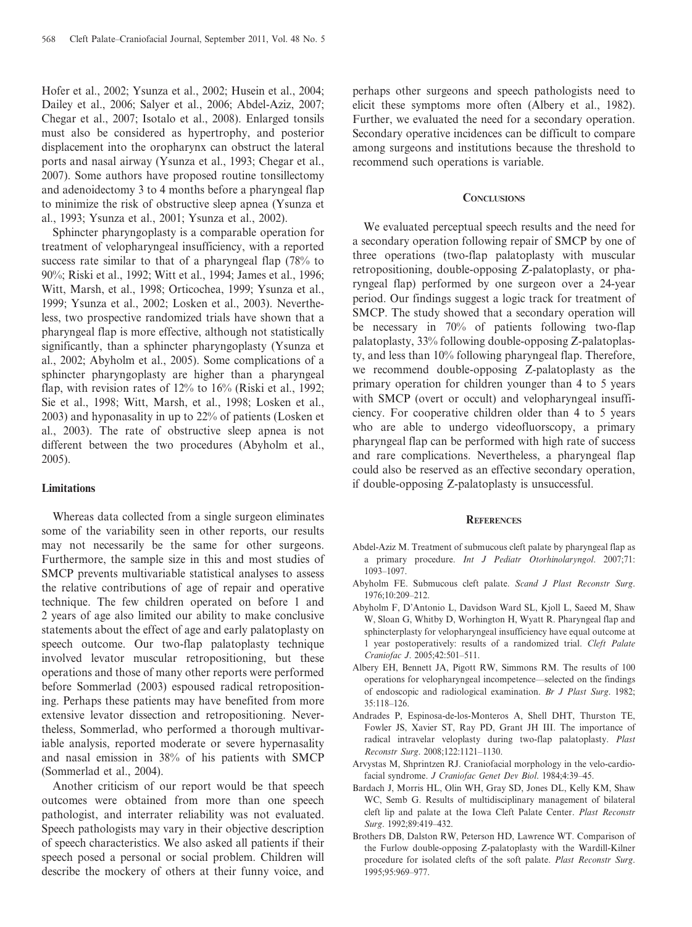Hofer et al., 2002; Ysunza et al., 2002; Husein et al., 2004; Dailey et al., 2006; Salyer et al., 2006; Abdel-Aziz, 2007; Chegar et al., 2007; Isotalo et al., 2008). Enlarged tonsils must also be considered as hypertrophy, and posterior displacement into the oropharynx can obstruct the lateral ports and nasal airway (Ysunza et al., 1993; Chegar et al., 2007). Some authors have proposed routine tonsillectomy and adenoidectomy 3 to 4 months before a pharyngeal flap to minimize the risk of obstructive sleep apnea (Ysunza et al., 1993; Ysunza et al., 2001; Ysunza et al., 2002).

Sphincter pharyngoplasty is a comparable operation for treatment of velopharyngeal insufficiency, with a reported success rate similar to that of a pharyngeal flap (78% to 90%; Riski et al., 1992; Witt et al., 1994; James et al., 1996; Witt, Marsh, et al., 1998; Orticochea, 1999; Ysunza et al., 1999; Ysunza et al., 2002; Losken et al., 2003). Nevertheless, two prospective randomized trials have shown that a pharyngeal flap is more effective, although not statistically significantly, than a sphincter pharyngoplasty (Ysunza et al., 2002; Abyholm et al., 2005). Some complications of a sphincter pharyngoplasty are higher than a pharyngeal flap, with revision rates of  $12\%$  to  $16\%$  (Riski et al., 1992; Sie et al., 1998; Witt, Marsh, et al., 1998; Losken et al., 2003) and hyponasality in up to 22% of patients (Losken et al., 2003). The rate of obstructive sleep apnea is not different between the two procedures (Abyholm et al., 2005).

## Limitations

Whereas data collected from a single surgeon eliminates some of the variability seen in other reports, our results may not necessarily be the same for other surgeons. Furthermore, the sample size in this and most studies of SMCP prevents multivariable statistical analyses to assess the relative contributions of age of repair and operative technique. The few children operated on before 1 and 2 years of age also limited our ability to make conclusive statements about the effect of age and early palatoplasty on speech outcome. Our two-flap palatoplasty technique involved levator muscular retropositioning, but these operations and those of many other reports were performed before Sommerlad (2003) espoused radical retropositioning. Perhaps these patients may have benefited from more extensive levator dissection and retropositioning. Nevertheless, Sommerlad, who performed a thorough multivariable analysis, reported moderate or severe hypernasality and nasal emission in 38% of his patients with SMCP (Sommerlad et al., 2004).

Another criticism of our report would be that speech outcomes were obtained from more than one speech pathologist, and interrater reliability was not evaluated. Speech pathologists may vary in their objective description of speech characteristics. We also asked all patients if their speech posed a personal or social problem. Children will describe the mockery of others at their funny voice, and

perhaps other surgeons and speech pathologists need to elicit these symptoms more often (Albery et al., 1982). Further, we evaluated the need for a secondary operation. Secondary operative incidences can be difficult to compare among surgeons and institutions because the threshold to recommend such operations is variable.

#### **CONCLUSIONS**

We evaluated perceptual speech results and the need for a secondary operation following repair of SMCP by one of three operations (two-flap palatoplasty with muscular retropositioning, double-opposing Z-palatoplasty, or pharyngeal flap) performed by one surgeon over a 24-year period. Our findings suggest a logic track for treatment of SMCP. The study showed that a secondary operation will be necessary in 70% of patients following two-flap palatoplasty, 33% following double-opposing Z-palatoplasty, and less than 10% following pharyngeal flap. Therefore, we recommend double-opposing Z-palatoplasty as the primary operation for children younger than 4 to 5 years with SMCP (overt or occult) and velopharyngeal insufficiency. For cooperative children older than 4 to 5 years who are able to undergo videofluorscopy, a primary pharyngeal flap can be performed with high rate of success and rare complications. Nevertheless, a pharyngeal flap could also be reserved as an effective secondary operation, if double-opposing Z-palatoplasty is unsuccessful.

#### **REFERENCES**

- Abdel-Aziz M. Treatment of submucous cleft palate by pharyngeal flap as a primary procedure. Int J Pediatr Otorhinolaryngol. 2007;71: 1093–1097.
- Abyholm FE. Submucous cleft palate. Scand J Plast Reconstr Surg. 1976;10:209–212.
- Abyholm F, D'Antonio L, Davidson Ward SL, Kjoll L, Saeed M, Shaw W, Sloan G, Whitby D, Worhington H, Wyatt R. Pharyngeal flap and sphincterplasty for velopharyngeal insufficiency have equal outcome at 1 year postoperatively: results of a randomized trial. Cleft Palate Craniofac J. 2005;42:501–511.
- Albery EH, Bennett JA, Pigott RW, Simmons RM. The results of 100 operations for velopharyngeal incompetence—selected on the findings of endoscopic and radiological examination. Br J Plast Surg. 1982; 35:118–126.
- Andrades P, Espinosa-de-los-Monteros A, Shell DHT, Thurston TE, Fowler JS, Xavier ST, Ray PD, Grant JH III. The importance of radical intravelar veloplasty during two-flap palatoplasty. Plast Reconstr Surg. 2008;122:1121–1130.
- Arvystas M, Shprintzen RJ. Craniofacial morphology in the velo-cardiofacial syndrome. J Craniofac Genet Dev Biol. 1984;4:39–45.
- Bardach J, Morris HL, Olin WH, Gray SD, Jones DL, Kelly KM, Shaw WC, Semb G. Results of multidisciplinary management of bilateral cleft lip and palate at the Iowa Cleft Palate Center. Plast Reconstr Surg. 1992;89:419–432.
- Brothers DB, Dalston RW, Peterson HD, Lawrence WT. Comparison of the Furlow double-opposing Z-palatoplasty with the Wardill-Kilner procedure for isolated clefts of the soft palate. Plast Reconstr Surg. 1995;95:969–977.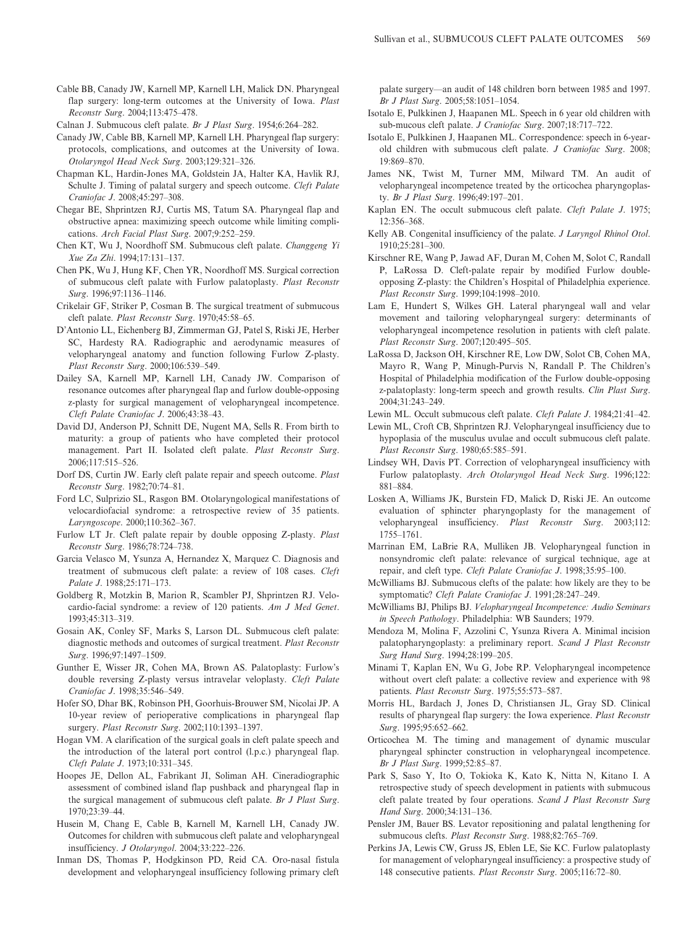Cable BB, Canady JW, Karnell MP, Karnell LH, Malick DN. Pharyngeal flap surgery: long-term outcomes at the University of Iowa. Plast Reconstr Surg. 2004;113:475–478.

Calnan J. Submucous cleft palate. Br J Plast Surg. 1954;6:264–282.

- Canady JW, Cable BB, Karnell MP, Karnell LH. Pharyngeal flap surgery: protocols, complications, and outcomes at the University of Iowa. Otolaryngol Head Neck Surg. 2003;129:321–326.
- Chapman KL, Hardin-Jones MA, Goldstein JA, Halter KA, Havlik RJ, Schulte J. Timing of palatal surgery and speech outcome. Cleft Palate Craniofac J. 2008;45:297–308.
- Chegar BE, Shprintzen RJ, Curtis MS, Tatum SA. Pharyngeal flap and obstructive apnea: maximizing speech outcome while limiting complications. Arch Facial Plast Surg. 2007;9:252–259.
- Chen KT, Wu J, Noordhoff SM. Submucous cleft palate. Changgeng Yi Xue Za Zhi. 1994;17:131–137.
- Chen PK, Wu J, Hung KF, Chen YR, Noordhoff MS. Surgical correction of submucous cleft palate with Furlow palatoplasty. Plast Reconstr Surg. 1996;97:1136–1146.
- Crikelair GF, Striker P, Cosman B. The surgical treatment of submucous cleft palate. Plast Reconstr Surg. 1970;45:58–65.
- D'Antonio LL, Eichenberg BJ, Zimmerman GJ, Patel S, Riski JE, Herber SC, Hardesty RA. Radiographic and aerodynamic measures of velopharyngeal anatomy and function following Furlow Z-plasty. Plast Reconstr Surg. 2000;106:539–549.
- Dailey SA, Karnell MP, Karnell LH, Canady JW. Comparison of resonance outcomes after pharyngeal flap and furlow double-opposing z-plasty for surgical management of velopharyngeal incompetence. Cleft Palate Craniofac J. 2006;43:38–43.
- David DJ, Anderson PJ, Schnitt DE, Nugent MA, Sells R. From birth to maturity: a group of patients who have completed their protocol management. Part II. Isolated cleft palate. Plast Reconstr Surg. 2006;117:515–526.
- Dorf DS, Curtin JW. Early cleft palate repair and speech outcome. Plast Reconstr Surg. 1982;70:74–81.
- Ford LC, Sulprizio SL, Rasgon BM. Otolaryngological manifestations of velocardiofacial syndrome: a retrospective review of 35 patients. Laryngoscope. 2000;110:362–367.
- Furlow LT Jr. Cleft palate repair by double opposing Z-plasty. Plast Reconstr Surg. 1986;78:724–738.
- Garcia Velasco M, Ysunza A, Hernandez X, Marquez C. Diagnosis and treatment of submucous cleft palate: a review of 108 cases. Cleft Palate J. 1988;25:171–173.
- Goldberg R, Motzkin B, Marion R, Scambler PJ, Shprintzen RJ. Velocardio-facial syndrome: a review of 120 patients. Am J Med Genet. 1993;45:313–319.
- Gosain AK, Conley SF, Marks S, Larson DL. Submucous cleft palate: diagnostic methods and outcomes of surgical treatment. Plast Reconstr Surg. 1996;97:1497–1509.
- Gunther E, Wisser JR, Cohen MA, Brown AS. Palatoplasty: Furlow's double reversing Z-plasty versus intravelar veloplasty. Cleft Palate Craniofac J. 1998;35:546–549.
- Hofer SO, Dhar BK, Robinson PH, Goorhuis-Brouwer SM, Nicolai JP. A 10-year review of perioperative complications in pharyngeal flap surgery. Plast Reconstr Surg. 2002;110:1393–1397.
- Hogan VM. A clarification of the surgical goals in cleft palate speech and the introduction of the lateral port control (l.p.c.) pharyngeal flap. Cleft Palate J. 1973;10:331–345.
- Hoopes JE, Dellon AL, Fabrikant JI, Soliman AH. Cineradiographic assessment of combined island flap pushback and pharyngeal flap in the surgical management of submucous cleft palate. Br J Plast Surg. 1970;23:39–44.
- Husein M, Chang E, Cable B, Karnell M, Karnell LH, Canady JW. Outcomes for children with submucous cleft palate and velopharyngeal insufficiency. J Otolaryngol. 2004;33:222–226.
- Inman DS, Thomas P, Hodgkinson PD, Reid CA. Oro-nasal fistula development and velopharyngeal insufficiency following primary cleft

palate surgery—an audit of 148 children born between 1985 and 1997. Br J Plast Surg. 2005;58:1051–1054.

- Isotalo E, Pulkkinen J, Haapanen ML. Speech in 6 year old children with sub-mucous cleft palate. J Craniofac Surg. 2007;18:717–722.
- Isotalo E, Pulkkinen J, Haapanen ML. Correspondence: speech in 6-yearold children with submucous cleft palate. J Craniofac Surg. 2008; 19:869–870.
- James NK, Twist M, Turner MM, Milward TM. An audit of velopharyngeal incompetence treated by the orticochea pharyngoplasty. Br J Plast Surg. 1996;49:197–201.
- Kaplan EN. The occult submucous cleft palate. Cleft Palate J. 1975; 12:356–368.
- Kelly AB. Congenital insufficiency of the palate. J Laryngol Rhinol Otol. 1910;25:281–300.
- Kirschner RE, Wang P, Jawad AF, Duran M, Cohen M, Solot C, Randall P, LaRossa D. Cleft-palate repair by modified Furlow doubleopposing Z-plasty: the Children's Hospital of Philadelphia experience. Plast Reconstr Surg. 1999;104:1998–2010.
- Lam E, Hundert S, Wilkes GH. Lateral pharyngeal wall and velar movement and tailoring velopharyngeal surgery: determinants of velopharyngeal incompetence resolution in patients with cleft palate. Plast Reconstr Surg. 2007;120:495–505.
- LaRossa D, Jackson OH, Kirschner RE, Low DW, Solot CB, Cohen MA, Mayro R, Wang P, Minugh-Purvis N, Randall P. The Children's Hospital of Philadelphia modification of the Furlow double-opposing z-palatoplasty: long-term speech and growth results. Clin Plast Surg. 2004;31:243–249.
- Lewin ML. Occult submucous cleft palate. Cleft Palate J. 1984;21:41–42.
- Lewin ML, Croft CB, Shprintzen RJ. Velopharyngeal insufficiency due to hypoplasia of the musculus uvulae and occult submucous cleft palate. Plast Reconstr Surg. 1980;65:585–591.
- Lindsey WH, Davis PT. Correction of velopharyngeal insufficiency with Furlow palatoplasty. Arch Otolaryngol Head Neck Surg. 1996;122: 881–884.
- Losken A, Williams JK, Burstein FD, Malick D, Riski JE. An outcome evaluation of sphincter pharyngoplasty for the management of velopharyngeal insufficiency. Plast Reconstr Surg. 2003;112: 1755–1761.
- Marrinan EM, LaBrie RA, Mulliken JB. Velopharyngeal function in nonsyndromic cleft palate: relevance of surgical technique, age at repair, and cleft type. Cleft Palate Craniofac J. 1998;35:95–100.
- McWilliams BJ. Submucous clefts of the palate: how likely are they to be symptomatic? Cleft Palate Craniofac J. 1991;28:247–249.
- McWilliams BJ, Philips BJ. Velopharyngeal Incompetence: Audio Seminars in Speech Pathology. Philadelphia: WB Saunders; 1979.
- Mendoza M, Molina F, Azzolini C, Ysunza Rivera A. Minimal incision palatopharyngoplasty: a preliminary report. Scand J Plast Reconstr Surg Hand Surg. 1994;28:199–205.
- Minami T, Kaplan EN, Wu G, Jobe RP. Velopharyngeal incompetence without overt cleft palate: a collective review and experience with 98 patients. Plast Reconstr Surg. 1975;55:573–587.
- Morris HL, Bardach J, Jones D, Christiansen JL, Gray SD. Clinical results of pharyngeal flap surgery: the Iowa experience. Plast Reconstr Surg. 1995;95:652–662.
- Orticochea M. The timing and management of dynamic muscular pharyngeal sphincter construction in velopharyngeal incompetence. Br J Plast Surg. 1999;52:85–87.
- Park S, Saso Y, Ito O, Tokioka K, Kato K, Nitta N, Kitano I. A retrospective study of speech development in patients with submucous cleft palate treated by four operations. Scand J Plast Reconstr Surg Hand Surg. 2000;34:131–136.
- Pensler JM, Bauer BS. Levator repositioning and palatal lengthening for submucous clefts. Plast Reconstr Surg. 1988;82:765–769.
- Perkins JA, Lewis CW, Gruss JS, Eblen LE, Sie KC. Furlow palatoplasty for management of velopharyngeal insufficiency: a prospective study of 148 consecutive patients. Plast Reconstr Surg. 2005;116:72–80.